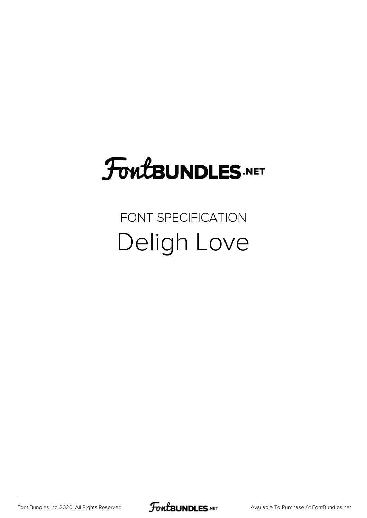# **FoutBUNDLES.NET**

#### FONT SPECIFICATION Deligh Love

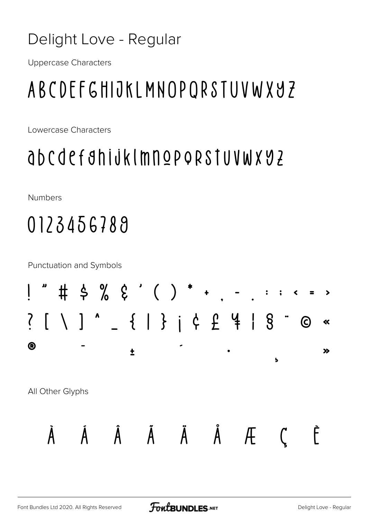#### Delight Love - Regular

**Uppercase Characters** 

## ABCDEFGHIJKLMNOPORSTUVWXYZ

Lowercase Characters

### abcdefahijklmnoporstuvwxyz

Numbers

## 0123456789

**Punctuation and Symbols** 

| ļ                     | IJ           | #                |                                |           |  |   |              |                                    | $\qquad \qquad \blacksquare$ | $\bullet$ | $\ddot{\bullet}$ |                  | $\left\langle \right\rangle$ |            | $\rightarrow$      |
|-----------------------|--------------|------------------|--------------------------------|-----------|--|---|--------------|------------------------------------|------------------------------|-----------|------------------|------------------|------------------------------|------------|--------------------|
| $\sum_{i=1}^{\infty}$ | $\mathbf{L}$ | $\Lambda$        | $\begin{array}{c} \end{array}$ | $\lambda$ |  |   |              | $\{   \}$ $\}$ $\{   \}$ $\{ 2 \}$ |                              | $\vert$   | $\S$             | $\bullet\bullet$ |                              | $\bigcirc$ | $\ll$              |
| $\bigcirc$            |              |                  |                                |           |  |   |              |                                    | $\bullet$                    |           |                  | Ь                |                              |            | $\boldsymbol{\gg}$ |
|                       |              | All Other Glyphs |                                |           |  |   |              |                                    |                              |           |                  |                  |                              |            |                    |
|                       |              |                  |                                |           |  | A | $\mathsf{A}$ | A                                  |                              | Æ         |                  |                  |                              |            |                    |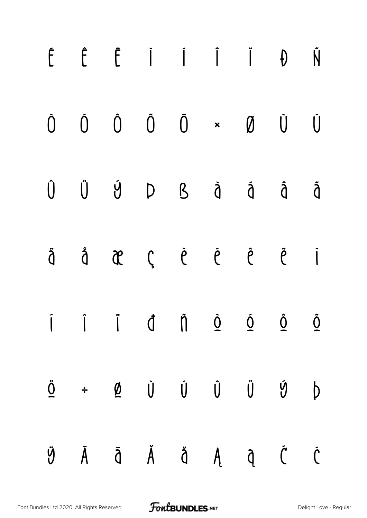|  |  | $\begin{array}{ccccccccccccccccc} \hat{F} & \hat{E} & \hat{E} & \hat{I} & \hat{I} & \hat{I} & \hat{I} & \hat{U} & \hat{N} \end{array}$                                                                                                                                                                                                                                                                                           |  |   |
|--|--|----------------------------------------------------------------------------------------------------------------------------------------------------------------------------------------------------------------------------------------------------------------------------------------------------------------------------------------------------------------------------------------------------------------------------------|--|---|
|  |  | $\begin{matrix} \mathbf{0} & \mathbf{0} & \mathbf{0} & \mathbf{0} & \mathbf{0} & \mathbf{0} & \mathbf{0} & \mathbf{0} & \mathbf{0} & \mathbf{0} & \mathbf{0} & \mathbf{0} & \mathbf{0} & \mathbf{0} & \mathbf{0} & \mathbf{0} & \mathbf{0} & \mathbf{0} & \mathbf{0} & \mathbf{0} & \mathbf{0} & \mathbf{0} & \mathbf{0} & \mathbf{0} & \mathbf{0} & \mathbf{0} & \mathbf{0} & \mathbf{0} & \mathbf{0} & \mathbf{0} & \mathbf{0$ |  | Ú |
|  |  | Û Ü Ý Þ ß à á å å                                                                                                                                                                                                                                                                                                                                                                                                                |  |   |
|  |  | äåæçèéê ë i                                                                                                                                                                                                                                                                                                                                                                                                                      |  |   |
|  |  | $\dot{I}$ $\dot{I}$ $\dot{J}$ $\dot{0}$ $\dot{0}$ $\dot{0}$ $\dot{0}$ $\dot{0}$                                                                                                                                                                                                                                                                                                                                                  |  |   |
|  |  | $\begin{array}{ccccccccccccc} \underline{\bullet} & & \div & & \underline{\phi} & & \dot{\textbf{U}} & & \dot{\textbf{U}} & & \dot{\textbf{U}} & & \ddot{\textbf{U}} & & \ddot{\textbf{U}} & & \textbf{D} \end{array}$                                                                                                                                                                                                           |  |   |
|  |  | $\ddot{\mathcal{Y}}\qquad \bar{A}\qquad \bar{\mathcal{A}}\qquad \bar{\mathcal{A}}\qquad \bar{\mathcal{A}}\qquad \bar{\mathcal{A}}\qquad \bar{\mathcal{C}}\qquad \bar{\mathcal{C}}$                                                                                                                                                                                                                                               |  |   |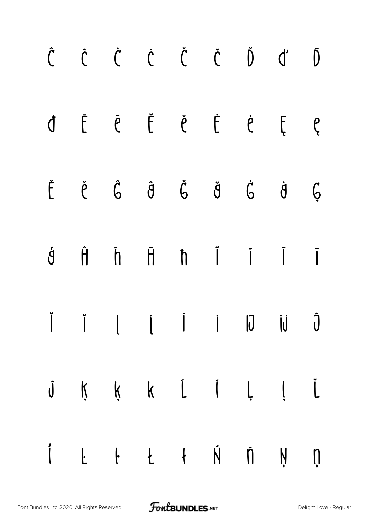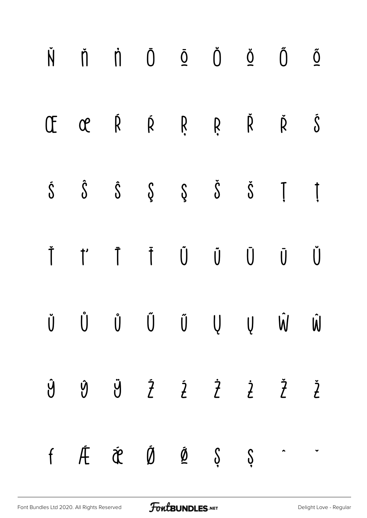|  |  |  | $\check{N}$ $\check{\Pi}$ $\check{\Pi}$ $\check{\mathbb{O}}$ $\tilde{\mathbb{Q}}$ $\check{\mathbb{O}}$ $\check{\mathbb{O}}$ $\check{\mathbb{O}}$ $\tilde{\mathbb{O}}$                                                                                                |  |
|--|--|--|----------------------------------------------------------------------------------------------------------------------------------------------------------------------------------------------------------------------------------------------------------------------|--|
|  |  |  | OE OE Ŕ Ŕ Ŗ Ŗ Ř Š                                                                                                                                                                                                                                                    |  |
|  |  |  | $\dot{\mathbb{S}}\qquad \hat{\mathbb{S}}\qquad \hat{\mathbb{S}}\qquad \hat{\mathbb{S}}\qquad \hat{\mathbb{S}}\qquad \hat{\mathbb{S}}\qquad \tilde{\mathbb{S}}\qquad \tilde{\mathbb{I}}\qquad \tilde{\mathbb{I}}$                                                     |  |
|  |  |  | Ť ť Ī Ī Ũ Ũ Ū Ū Ŭ                                                                                                                                                                                                                                                    |  |
|  |  |  | $\check{\mathsf{U}}\qquad \  \  \check{\mathsf{U}}\qquad \  \  \check{\mathsf{U}}\qquad \  \  \check{\mathsf{U}}\qquad \  \  \check{\mathsf{U}}\qquad \  \  \mathsf{U}\qquad \  \  \check{\mathsf{V}}\qquad \  \  \check{\mathsf{U}}\qquad \  \  \check{\mathsf{U}}$ |  |
|  |  |  | $\begin{array}{ccccccccccccccccc} \hat{y} & \hat{y} & \hat{y} & \hat{z} & \hat{z} & \hat{z} & \hat{z} & \hat{z} & \hat{z} & \end{array}$                                                                                                                             |  |
|  |  |  | $f \quad \tilde{\mathcal{A}} \quad \tilde{\mathcal{B}} \quad \tilde{\mathcal{B}} \quad \tilde{\mathcal{B}} \quad \tilde{\mathcal{S}} \quad \tilde{\mathcal{S}} \qquad \tilde{\mathcal{A}} \qquad \tilde{\mathcal{A}}$                                                |  |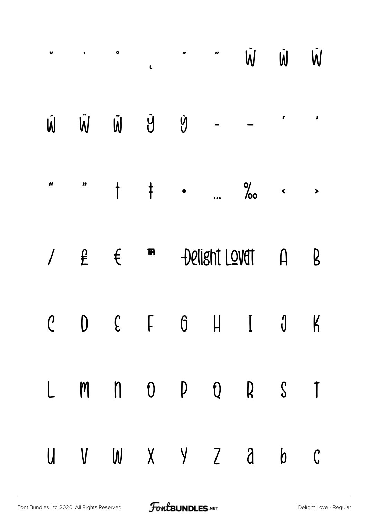|          |              | $\bullet$                | L             |           | n             | W                                                                   | $\dot{\mathsf{W}}$     | W.                    |
|----------|--------------|--------------------------|---------------|-----------|---------------|---------------------------------------------------------------------|------------------------|-----------------------|
| Ŵ        | W            | $\ddot{\bm{\mathsf{W}}}$ | Ý             | Ý         |               |                                                                     | t                      | $\lambda$             |
| <b>e</b> | IJ           | $\dagger$                | $\frac{1}{1}$ | $\bullet$ |               | $\frac{9}{60}$                                                      | $\blacktriangleleft$   | $\blacktriangleright$ |
|          | $\mathbf{f}$ | $\mathfrak{t}$           | <b>TM</b>     |           | Delisht Lovet |                                                                     | $\bm{\mathsf{\Omega}}$ | B                     |
|          |              |                          |               |           |               | $C$ $D$ $E$ $F$ $G$ $H$ $I$ $J$ $K$                                 |                        |                       |
|          |              |                          |               |           |               | $L \quad M \quad n \quad 0 \quad P \quad Q \quad R \quad S \quad T$ |                        |                       |
|          |              |                          |               |           |               | U V W X Y Z a b C                                                   |                        |                       |